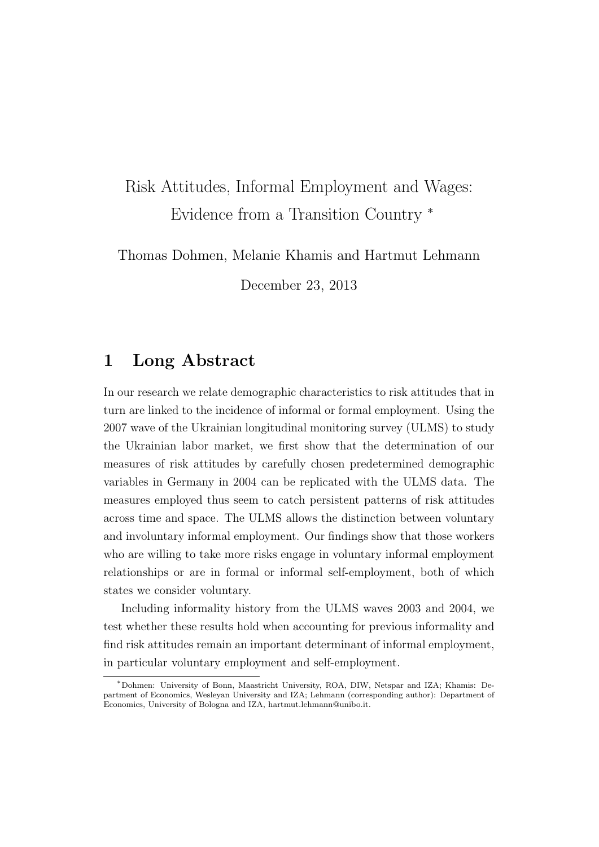## Risk Attitudes, Informal Employment and Wages: Evidence from a Transition Country <sup>∗</sup>

Thomas Dohmen, Melanie Khamis and Hartmut Lehmann

December 23, 2013

## 1 Long Abstract

In our research we relate demographic characteristics to risk attitudes that in turn are linked to the incidence of informal or formal employment. Using the 2007 wave of the Ukrainian longitudinal monitoring survey (ULMS) to study the Ukrainian labor market, we first show that the determination of our measures of risk attitudes by carefully chosen predetermined demographic variables in Germany in 2004 can be replicated with the ULMS data. The measures employed thus seem to catch persistent patterns of risk attitudes across time and space. The ULMS allows the distinction between voluntary and involuntary informal employment. Our findings show that those workers who are willing to take more risks engage in voluntary informal employment relationships or are in formal or informal self-employment, both of which states we consider voluntary.

Including informality history from the ULMS waves 2003 and 2004, we test whether these results hold when accounting for previous informality and find risk attitudes remain an important determinant of informal employment, in particular voluntary employment and self-employment.

<sup>∗</sup>Dohmen: University of Bonn, Maastricht University, ROA, DIW, Netspar and IZA; Khamis: Department of Economics, Wesleyan University and IZA; Lehmann (corresponding author): Department of Economics, University of Bologna and IZA, hartmut.lehmann@unibo.it.